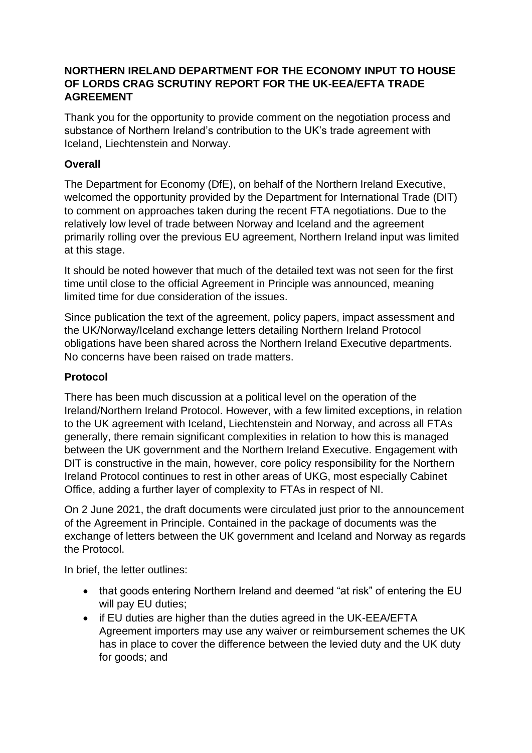## **NORTHERN IRELAND DEPARTMENT FOR THE ECONOMY INPUT TO HOUSE OF LORDS CRAG SCRUTINY REPORT FOR THE UK-EEA/EFTA TRADE AGREEMENT**

Thank you for the opportunity to provide comment on the negotiation process and substance of Northern Ireland's contribution to the UK's trade agreement with Iceland, Liechtenstein and Norway.

## **Overall**

The Department for Economy (DfE), on behalf of the Northern Ireland Executive, welcomed the opportunity provided by the Department for International Trade (DIT) to comment on approaches taken during the recent FTA negotiations. Due to the relatively low level of trade between Norway and Iceland and the agreement primarily rolling over the previous EU agreement, Northern Ireland input was limited at this stage.

It should be noted however that much of the detailed text was not seen for the first time until close to the official Agreement in Principle was announced, meaning limited time for due consideration of the issues.

Since publication the text of the agreement, policy papers, impact assessment and the UK/Norway/Iceland exchange letters detailing Northern Ireland Protocol obligations have been shared across the Northern Ireland Executive departments. No concerns have been raised on trade matters.

## **Protocol**

There has been much discussion at a political level on the operation of the Ireland/Northern Ireland Protocol. However, with a few limited exceptions, in relation to the UK agreement with Iceland, Liechtenstein and Norway, and across all FTAs generally, there remain significant complexities in relation to how this is managed between the UK government and the Northern Ireland Executive. Engagement with DIT is constructive in the main, however, core policy responsibility for the Northern Ireland Protocol continues to rest in other areas of UKG, most especially Cabinet Office, adding a further layer of complexity to FTAs in respect of NI.

On 2 June 2021, the draft documents were circulated just prior to the announcement of the Agreement in Principle. Contained in the package of documents was the exchange of letters between the UK government and Iceland and Norway as regards the Protocol.

In brief, the letter outlines:

- that goods entering Northern Ireland and deemed "at risk" of entering the EU will pay EU duties;
- if EU duties are higher than the duties agreed in the UK-EEA/EFTA Agreement importers may use any waiver or reimbursement schemes the UK has in place to cover the difference between the levied duty and the UK duty for goods; and